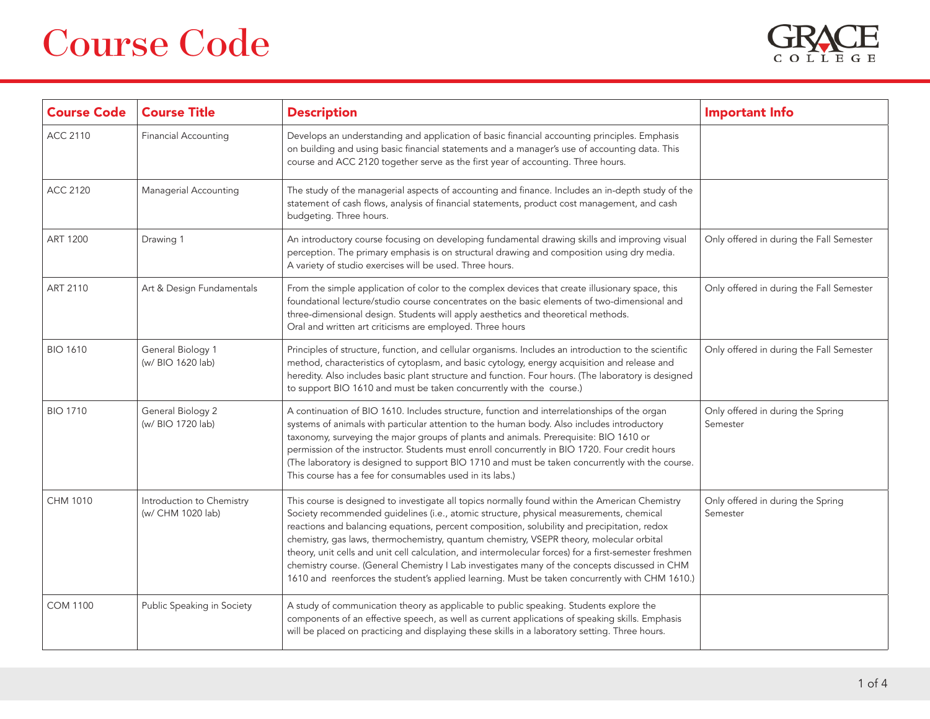

| <b>Course Code</b> | <b>Course Title</b>                            | <b>Description</b>                                                                                                                                                                                                                                                                                                                                                                                                                                                                                                                                                                                                                                                                                | <b>Important Info</b>                         |
|--------------------|------------------------------------------------|---------------------------------------------------------------------------------------------------------------------------------------------------------------------------------------------------------------------------------------------------------------------------------------------------------------------------------------------------------------------------------------------------------------------------------------------------------------------------------------------------------------------------------------------------------------------------------------------------------------------------------------------------------------------------------------------------|-----------------------------------------------|
| <b>ACC 2110</b>    | <b>Financial Accounting</b>                    | Develops an understanding and application of basic financial accounting principles. Emphasis<br>on building and using basic financial statements and a manager's use of accounting data. This<br>course and ACC 2120 together serve as the first year of accounting. Three hours.                                                                                                                                                                                                                                                                                                                                                                                                                 |                                               |
| <b>ACC 2120</b>    | Managerial Accounting                          | The study of the managerial aspects of accounting and finance. Includes an in-depth study of the<br>statement of cash flows, analysis of financial statements, product cost management, and cash<br>budgeting. Three hours.                                                                                                                                                                                                                                                                                                                                                                                                                                                                       |                                               |
| <b>ART 1200</b>    | Drawing 1                                      | An introductory course focusing on developing fundamental drawing skills and improving visual<br>perception. The primary emphasis is on structural drawing and composition using dry media.<br>A variety of studio exercises will be used. Three hours.                                                                                                                                                                                                                                                                                                                                                                                                                                           | Only offered in during the Fall Semester      |
| <b>ART 2110</b>    | Art & Design Fundamentals                      | From the simple application of color to the complex devices that create illusionary space, this<br>foundational lecture/studio course concentrates on the basic elements of two-dimensional and<br>three-dimensional design. Students will apply aesthetics and theoretical methods.<br>Oral and written art criticisms are employed. Three hours                                                                                                                                                                                                                                                                                                                                                 | Only offered in during the Fall Semester      |
| <b>BIO 1610</b>    | General Biology 1<br>(w/ BIO 1620 lab)         | Principles of structure, function, and cellular organisms. Includes an introduction to the scientific<br>method, characteristics of cytoplasm, and basic cytology, energy acquisition and release and<br>heredity. Also includes basic plant structure and function. Four hours. (The laboratory is designed<br>to support BIO 1610 and must be taken concurrently with the course.)                                                                                                                                                                                                                                                                                                              | Only offered in during the Fall Semester      |
| <b>BIO 1710</b>    | General Biology 2<br>(w/ BIO 1720 lab)         | A continuation of BIO 1610. Includes structure, function and interrelationships of the organ<br>systems of animals with particular attention to the human body. Also includes introductory<br>taxonomy, surveying the major groups of plants and animals. Prerequisite: BIO 1610 or<br>permission of the instructor. Students must enroll concurrently in BIO 1720. Four credit hours<br>(The laboratory is designed to support BIO 1710 and must be taken concurrently with the course.<br>This course has a fee for consumables used in its labs.)                                                                                                                                              | Only offered in during the Spring<br>Semester |
| CHM 1010           | Introduction to Chemistry<br>(w/ CHM 1020 lab) | This course is designed to investigate all topics normally found within the American Chemistry<br>Society recommended guidelines (i.e., atomic structure, physical measurements, chemical<br>reactions and balancing equations, percent composition, solubility and precipitation, redox<br>chemistry, gas laws, thermochemistry, quantum chemistry, VSEPR theory, molecular orbital<br>theory, unit cells and unit cell calculation, and intermolecular forces) for a first-semester freshmen<br>chemistry course. (General Chemistry I Lab investigates many of the concepts discussed in CHM<br>1610 and reenforces the student's applied learning. Must be taken concurrently with CHM 1610.) | Only offered in during the Spring<br>Semester |
| <b>COM 1100</b>    | Public Speaking in Society                     | A study of communication theory as applicable to public speaking. Students explore the<br>components of an effective speech, as well as current applications of speaking skills. Emphasis<br>will be placed on practicing and displaying these skills in a laboratory setting. Three hours.                                                                                                                                                                                                                                                                                                                                                                                                       |                                               |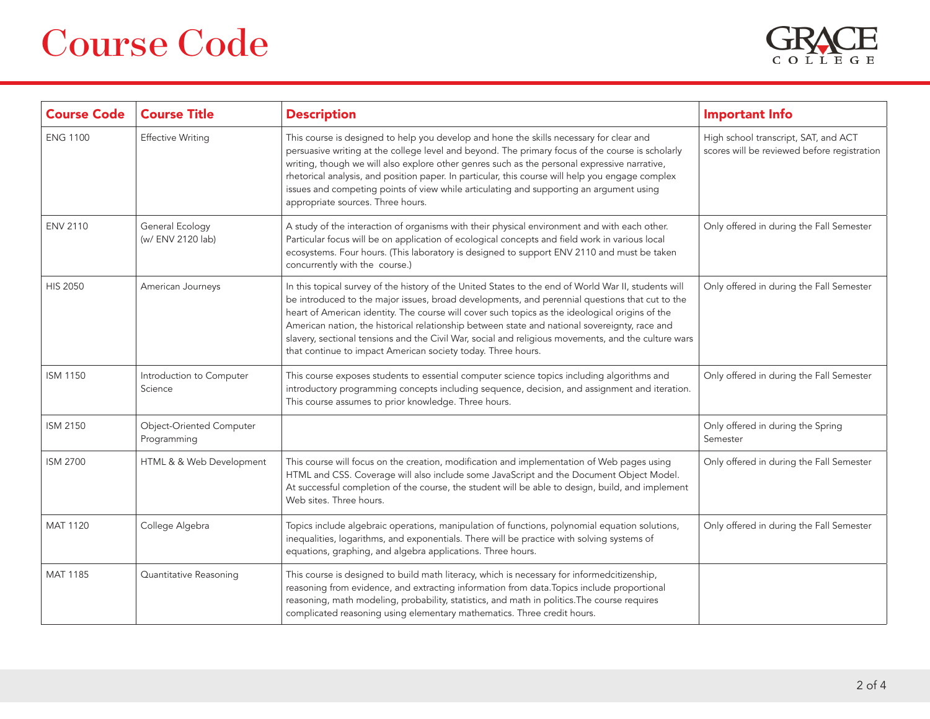

| <b>Course Code</b> | <b>Course Title</b>                     | <b>Description</b>                                                                                                                                                                                                                                                                                                                                                                                                                                                                                                                                                                | <b>Important Info</b>                                                               |
|--------------------|-----------------------------------------|-----------------------------------------------------------------------------------------------------------------------------------------------------------------------------------------------------------------------------------------------------------------------------------------------------------------------------------------------------------------------------------------------------------------------------------------------------------------------------------------------------------------------------------------------------------------------------------|-------------------------------------------------------------------------------------|
| <b>ENG 1100</b>    | <b>Effective Writing</b>                | This course is designed to help you develop and hone the skills necessary for clear and<br>persuasive writing at the college level and beyond. The primary focus of the course is scholarly<br>writing, though we will also explore other genres such as the personal expressive narrative,<br>rhetorical analysis, and position paper. In particular, this course will help you engage complex<br>issues and competing points of view while articulating and supporting an argument using<br>appropriate sources. Three hours.                                                   | High school transcript, SAT, and ACT<br>scores will be reviewed before registration |
| <b>ENV 2110</b>    | General Ecology<br>(w/ ENV 2120 lab)    | A study of the interaction of organisms with their physical environment and with each other.<br>Particular focus will be on application of ecological concepts and field work in various local<br>ecosystems. Four hours. (This laboratory is designed to support ENV 2110 and must be taken<br>concurrently with the course.)                                                                                                                                                                                                                                                    | Only offered in during the Fall Semester                                            |
| <b>HIS 2050</b>    | American Journeys                       | In this topical survey of the history of the United States to the end of World War II, students will<br>be introduced to the major issues, broad developments, and perennial questions that cut to the<br>heart of American identity. The course will cover such topics as the ideological origins of the<br>American nation, the historical relationship between state and national sovereignty, race and<br>slavery, sectional tensions and the Civil War, social and religious movements, and the culture wars<br>that continue to impact American society today. Three hours. | Only offered in during the Fall Semester                                            |
| <b>ISM 1150</b>    | Introduction to Computer<br>Science     | This course exposes students to essential computer science topics including algorithms and<br>introductory programming concepts including sequence, decision, and assignment and iteration.<br>This course assumes to prior knowledge. Three hours.                                                                                                                                                                                                                                                                                                                               | Only offered in during the Fall Semester                                            |
| <b>ISM 2150</b>    | Object-Oriented Computer<br>Programming |                                                                                                                                                                                                                                                                                                                                                                                                                                                                                                                                                                                   | Only offered in during the Spring<br>Semester                                       |
| <b>ISM 2700</b>    | HTML & & Web Development                | This course will focus on the creation, modification and implementation of Web pages using<br>HTML and CSS. Coverage will also include some JavaScript and the Document Object Model.<br>At successful completion of the course, the student will be able to design, build, and implement<br>Web sites. Three hours.                                                                                                                                                                                                                                                              | Only offered in during the Fall Semester                                            |
| <b>MAT 1120</b>    | College Algebra                         | Topics include algebraic operations, manipulation of functions, polynomial equation solutions,<br>inequalities, logarithms, and exponentials. There will be practice with solving systems of<br>equations, graphing, and algebra applications. Three hours.                                                                                                                                                                                                                                                                                                                       | Only offered in during the Fall Semester                                            |
| <b>MAT 1185</b>    | Quantitative Reasoning                  | This course is designed to build math literacy, which is necessary for informedcitizenship,<br>reasoning from evidence, and extracting information from data. Topics include proportional<br>reasoning, math modeling, probability, statistics, and math in politics. The course requires<br>complicated reasoning using elementary mathematics. Three credit hours.                                                                                                                                                                                                              |                                                                                     |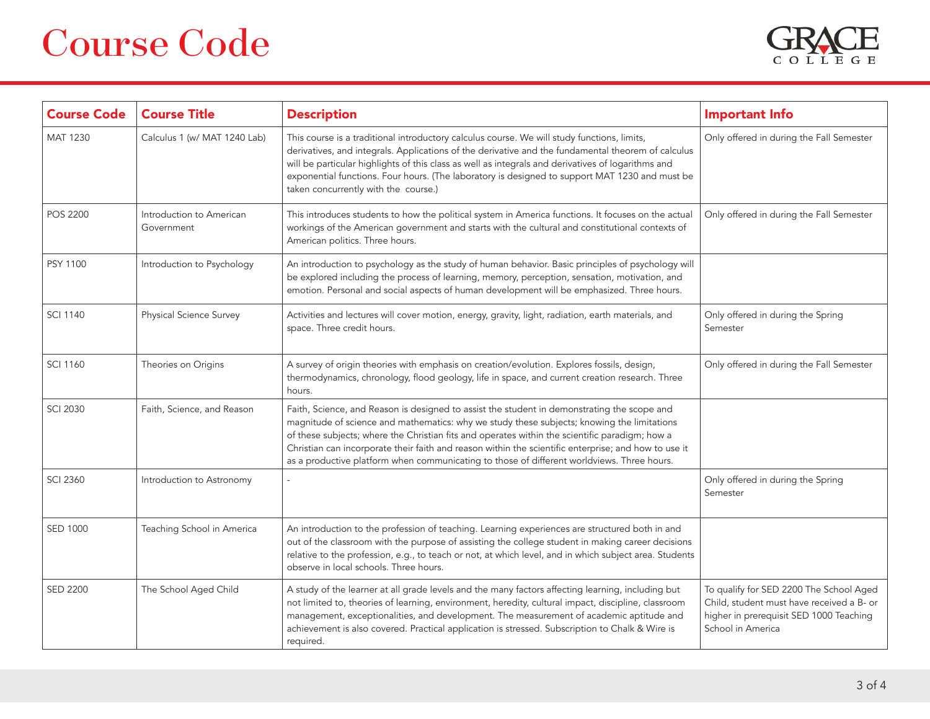

| <b>Course Code</b> | <b>Course Title</b>                    | <b>Description</b>                                                                                                                                                                                                                                                                                                                                                                                                                                                                                | <b>Important Info</b>                                                                                                                                |
|--------------------|----------------------------------------|---------------------------------------------------------------------------------------------------------------------------------------------------------------------------------------------------------------------------------------------------------------------------------------------------------------------------------------------------------------------------------------------------------------------------------------------------------------------------------------------------|------------------------------------------------------------------------------------------------------------------------------------------------------|
| MAT 1230           | Calculus 1 (w/ MAT 1240 Lab)           | This course is a traditional introductory calculus course. We will study functions, limits,<br>derivatives, and integrals. Applications of the derivative and the fundamental theorem of calculus<br>will be particular highlights of this class as well as integrals and derivatives of logarithms and<br>exponential functions. Four hours. (The laboratory is designed to support MAT 1230 and must be<br>taken concurrently with the course.)                                                 | Only offered in during the Fall Semester                                                                                                             |
| <b>POS 2200</b>    | Introduction to American<br>Government | This introduces students to how the political system in America functions. It focuses on the actual<br>workings of the American government and starts with the cultural and constitutional contexts of<br>American politics. Three hours.                                                                                                                                                                                                                                                         | Only offered in during the Fall Semester                                                                                                             |
| <b>PSY 1100</b>    | Introduction to Psychology             | An introduction to psychology as the study of human behavior. Basic principles of psychology will<br>be explored including the process of learning, memory, perception, sensation, motivation, and<br>emotion. Personal and social aspects of human development will be emphasized. Three hours.                                                                                                                                                                                                  |                                                                                                                                                      |
| <b>SCI 1140</b>    | Physical Science Survey                | Activities and lectures will cover motion, energy, gravity, light, radiation, earth materials, and<br>space. Three credit hours.                                                                                                                                                                                                                                                                                                                                                                  | Only offered in during the Spring<br>Semester                                                                                                        |
| <b>SCI 1160</b>    | Theories on Origins                    | A survey of origin theories with emphasis on creation/evolution. Explores fossils, design,<br>thermodynamics, chronology, flood geology, life in space, and current creation research. Three<br>hours.                                                                                                                                                                                                                                                                                            | Only offered in during the Fall Semester                                                                                                             |
| <b>SCI 2030</b>    | Faith, Science, and Reason             | Faith, Science, and Reason is designed to assist the student in demonstrating the scope and<br>magnitude of science and mathematics: why we study these subjects; knowing the limitations<br>of these subjects; where the Christian fits and operates within the scientific paradigm; how a<br>Christian can incorporate their faith and reason within the scientific enterprise; and how to use it<br>as a productive platform when communicating to those of different worldviews. Three hours. |                                                                                                                                                      |
| <b>SCI 2360</b>    | Introduction to Astronomy              |                                                                                                                                                                                                                                                                                                                                                                                                                                                                                                   | Only offered in during the Spring<br>Semester                                                                                                        |
| <b>SED 1000</b>    | Teaching School in America             | An introduction to the profession of teaching. Learning experiences are structured both in and<br>out of the classroom with the purpose of assisting the college student in making career decisions<br>relative to the profession, e.g., to teach or not, at which level, and in which subject area. Students<br>observe in local schools. Three hours.                                                                                                                                           |                                                                                                                                                      |
| <b>SED 2200</b>    | The School Aged Child                  | A study of the learner at all grade levels and the many factors affecting learning, including but<br>not limited to, theories of learning, environment, heredity, cultural impact, discipline, classroom<br>management, exceptionalities, and development. The measurement of academic aptitude and<br>achievement is also covered. Practical application is stressed. Subscription to Chalk & Wire is<br>required.                                                                               | To qualify for SED 2200 The School Aged<br>Child, student must have received a B- or<br>higher in prerequisit SED 1000 Teaching<br>School in America |